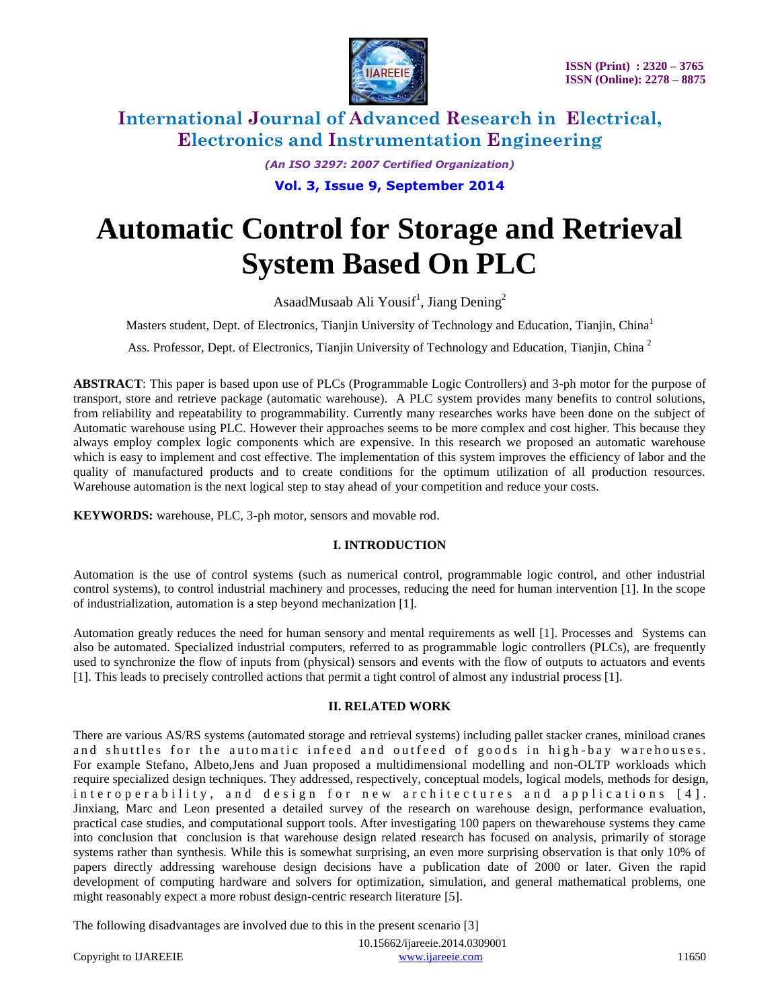

*(An ISO 3297: 2007 Certified Organization)*

**Vol. 3, Issue 9, September 2014**

# **Automatic Control for Storage and Retrieval System Based On PLC**

AsaadMusaab Ali Yousif<sup>1</sup>, Jiang Dening<sup>2</sup>

Masters student, Dept. of Electronics, Tianjin University of Technology and Education, Tianjin, China<sup>1</sup>

Ass. Professor, Dept. of Electronics, Tianjin University of Technology and Education, Tianjin, China<sup>2</sup>

**ABSTRACT**: This paper is based upon use of PLCs (Programmable Logic Controllers) and 3-ph motor for the purpose of transport, store and retrieve package (automatic warehouse). A PLC system provides many benefits to control solutions, from reliability and repeatability to programmability. Currently many researches works have been done on the subject of Automatic warehouse using PLC. However their approaches seems to be more complex and cost higher. This because they always employ complex logic components which are expensive. In this research we proposed an automatic warehouse which is easy to implement and cost effective. The implementation of this system improves the efficiency of labor and the quality of manufactured products and to create conditions for the optimum utilization of all production resources. Warehouse automation is the next logical step to stay ahead of your competition and reduce your costs.

**KEYWORDS:** warehouse, PLC, 3-ph motor, sensors and movable rod.

### **I. INTRODUCTION**

Automation is the use of control systems (such as numerical control, programmable logic control, and other industrial control systems), to control industrial machinery and processes, reducing the need for human intervention [1]. In the scope of industrialization, automation is a step beyond mechanization [1].

Automation greatly reduces the need for human sensory and mental requirements as well [1]. Processes and Systems can also be automated. Specialized industrial computers, referred to as programmable logic controllers (PLCs), are frequently used to synchronize the flow of inputs from (physical) sensors and events with the flow of outputs to actuators and events [1]. This leads to precisely controlled actions that permit a tight control of almost any industrial process [1].

### **II. RELATED WORK**

There are various AS/RS systems (automated storage and retrieval systems) including pallet stacker cranes, miniload cranes and shuttles for the automatic infeed and outfeed of goods in high-bay warehouses. For example Stefano, Albeto,Jens and Juan proposed a multidimensional modelling and non-OLTP workloads which require specialized design techniques. They addressed, respectively, conceptual models, logical models, methods for design, interoperability, and design for new architectures and applications [4]. Jinxiang, Marc and Leon presented a detailed survey of the research on warehouse design, performance evaluation, practical case studies, and computational support tools. After investigating 100 papers on thewarehouse systems they came into conclusion that conclusion is that warehouse design related research has focused on analysis, primarily of storage systems rather than synthesis. While this is somewhat surprising, an even more surprising observation is that only 10% of papers directly addressing warehouse design decisions have a publication date of 2000 or later. Given the rapid development of computing hardware and solvers for optimization, simulation, and general mathematical problems, one might reasonably expect a more robust design-centric research literature [5].

The following disadvantages are involved due to this in the present scenario [3]

| Copyright to IJAREEIE | www.mareeie.com | .1650 |
|-----------------------|-----------------|-------|

10.15662/ijareeie.2014.0309001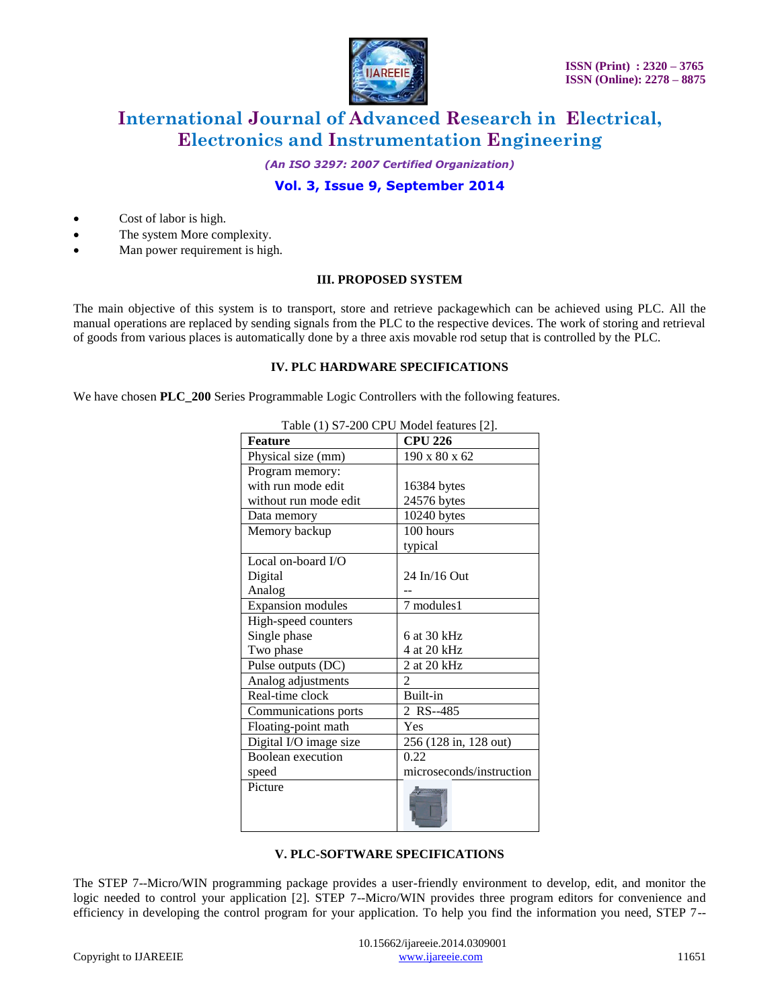

*(An ISO 3297: 2007 Certified Organization)*

## **Vol. 3, Issue 9, September 2014**

- Cost of labor is high.
- The system More complexity.
- Man power requirement is high.

#### **III. PROPOSED SYSTEM**

The main objective of this system is to transport, store and retrieve packagewhich can be achieved using PLC. All the manual operations are replaced by sending signals from the PLC to the respective devices. The work of storing and retrieval of goods from various places is automatically done by a three axis movable rod setup that is controlled by the PLC.

#### **IV. PLC HARDWARE SPECIFICATIONS**

We have chosen **PLC\_200** Series Programmable Logic Controllers with the following features.

| <b>Feature</b>           | <b>CPU 226</b>           |
|--------------------------|--------------------------|
| Physical size (mm)       | 190 x 80 x 62            |
| Program memory:          |                          |
| with run mode edit       | 16384 bytes              |
| without run mode edit    | 24576 bytes              |
| Data memory              | 10240 bytes              |
| Memory backup            | 100 hours                |
|                          | typical                  |
| Local on-board $I/O$     |                          |
| Digital                  | 24 In/16 Out             |
| Analog                   |                          |
| <b>Expansion</b> modules | 7 modules1               |
| High-speed counters      |                          |
| Single phase             | 6 at 30 kHz              |
| Two phase                | 4 at 20 kHz              |
| Pulse outputs (DC)       | 2 at 20 kHz              |
| Analog adjustments       | $\mathfrak{D}$           |
| Real-time clock          | Built-in                 |
| Communications ports     | 2 RS--485                |
| Floating-point math      | Yes                      |
| Digital I/O image size   | 256 (128 in, 128 out)    |
| Boolean execution        | 0.22                     |
| speed                    | microseconds/instruction |
| Picture                  |                          |

Table (1) S7-200 CPU Model features [2].

### **V. PLC-SOFTWARE SPECIFICATIONS**

The STEP 7--Micro/WIN programming package provides a user-friendly environment to develop, edit, and monitor the logic needed to control your application [2]. STEP 7--Micro/WIN provides three program editors for convenience and efficiency in developing the control program for your application. To help you find the information you need, STEP 7--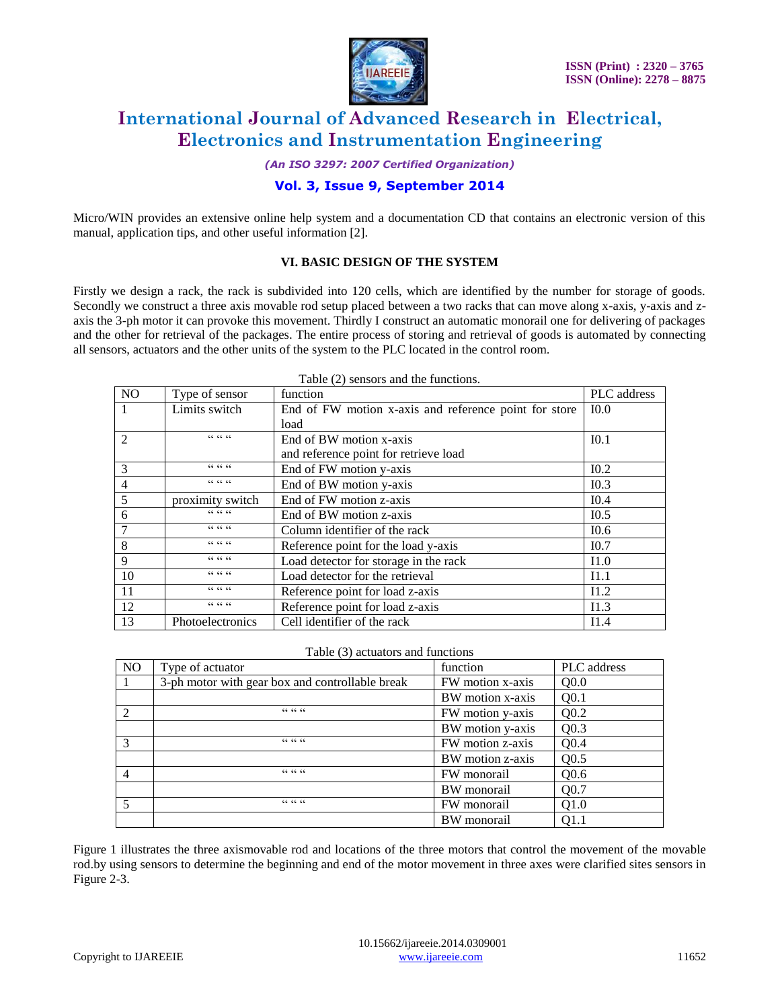

*(An ISO 3297: 2007 Certified Organization)*

### **Vol. 3, Issue 9, September 2014**

Micro/WIN provides an extensive online help system and a documentation CD that contains an electronic version of this manual, application tips, and other useful information [2].

#### **VI. BASIC DESIGN OF THE SYSTEM**

Firstly we design a rack, the rack is subdivided into 120 cells, which are identified by the number for storage of goods. Secondly we construct a three axis movable rod setup placed between a two racks that can move along x-axis, y-axis and zaxis the 3-ph motor it can provoke this movement. Thirdly I construct an automatic monorail one for delivering of packages and the other for retrieval of the packages. The entire process of storing and retrieval of goods is automated by connecting all sensors, actuators and the other units of the system to the PLC located in the control room.

| Type of sensor   | function                                              | PLC address      |
|------------------|-------------------------------------------------------|------------------|
| Limits switch    | End of FW motion x-axis and reference point for store | I <sub>0.0</sub> |
|                  | load                                                  |                  |
| $CC$ $CC$ $CC$   | End of BW motion x-axis                               | I <sub>0.1</sub> |
|                  | and reference point for retrieve load                 |                  |
| $CC$ $CC$ $CC$   | End of FW motion y-axis                               | I <sub>0.2</sub> |
| $CC$ $CC$ $CC$   | End of BW motion y-axis                               | I <sub>0.3</sub> |
| proximity switch | End of FW motion z-axis                               | I <sub>0.4</sub> |
| $CC$ $CC$ $CC$   | End of BW motion z-axis                               | I <sub>0.5</sub> |
| $CC$ $CC$ $CC$   | Column identifier of the rack                         | I0.6             |
| $CC$ $CC$ $CC$   | Reference point for the load y-axis                   | I <sub>0.7</sub> |
| $CC$ $CC$ $CC$   | Load detector for storage in the rack                 | 11.0             |
| $CC$ $CC$ $CC$   | Load detector for the retrieval                       | I1.1             |
| $CC$ $CC$ $CC$   | Reference point for load z-axis                       | I1.2             |
| $CC$ $CC$ $CC$   | Reference point for load z-axis                       | I1.3             |
| Photoelectronics | Cell identifier of the rack                           | I1.4             |
|                  |                                                       |                  |

Table (2) sensors and the functions.

#### Table (3) actuators and functions

| N <sub>O</sub> | Type of actuator                                | function         | PLC address      |
|----------------|-------------------------------------------------|------------------|------------------|
|                | 3-ph motor with gear box and controllable break | FW motion x-axis | Q <sub>0.0</sub> |
|                |                                                 | BW motion x-axis | Q <sub>0.1</sub> |
| $\mathfrak{D}$ | $CC$ $CC$ $CC$                                  | FW motion y-axis | O <sub>0.2</sub> |
|                |                                                 | BW motion y-axis | Q <sub>0.3</sub> |
| $\mathcal{R}$  | $CC$ $CC$ $CC$                                  | FW motion z-axis | O <sub>0.4</sub> |
|                |                                                 | BW motion z-axis | Q <sub>0.5</sub> |
| 4              | $CC$ $CC$ $CC$                                  | FW monorail      | O <sub>0.6</sub> |
|                |                                                 | BW monorail      | Q <sub>0.7</sub> |
| 5              | $CC$ $CC$ $CC$                                  | FW monorail      | Q1.0             |
|                |                                                 | BW monorail      | Q1.1             |

Figure 1 illustrates the three axismovable rod and locations of the three motors that control the movement of the movable rod.by using sensors to determine the beginning and end of the motor movement in three axes were clarified sites sensors in Figure 2-3.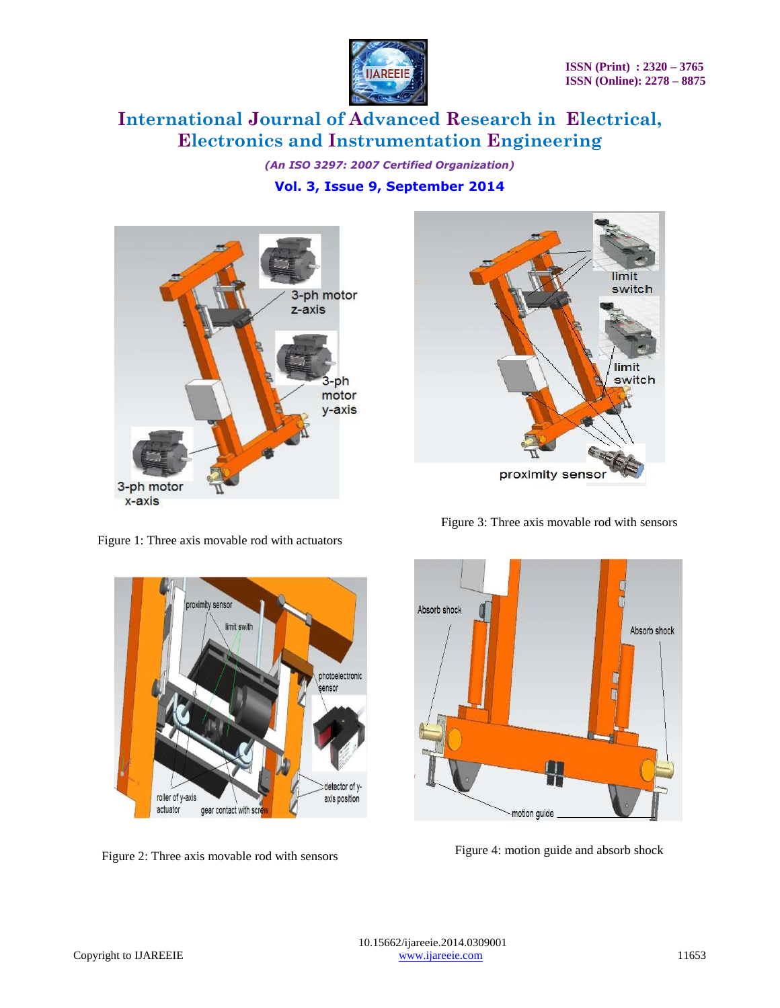

*(An ISO 3297: 2007 Certified Organization)* **Vol. 3, Issue 9, September 2014**





Figure 1: Three axis movable rod with actuators



Figure 2: Three axis movable rod with sensors

Figure 3: Three axis movable rod with sensors



Figure 4: motion guide and absorb shock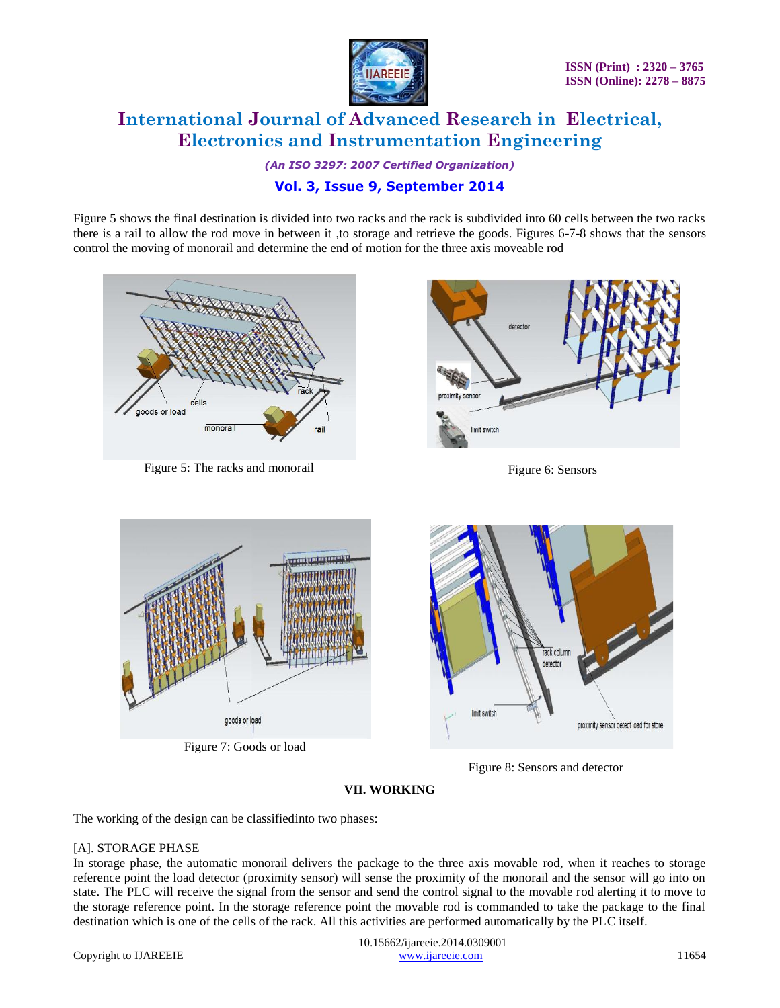

*(An ISO 3297: 2007 Certified Organization)*

# **Vol. 3, Issue 9, September 2014**

Figure 5 shows the final destination is divided into two racks and the rack is subdivided into 60 cells between the two racks there is a rail to allow the rod move in between it ,to storage and retrieve the goods. Figures 6-7-8 shows that the sensors control the moving of monorail and determine the end of motion for the three axis moveable rod



Figure 5: The racks and monorail Figure 6: Sensors Figure 6: Sensors





Figure 7: Goods or load



Figure 8: Sensors and detector

# **VII. WORKING**

The working of the design can be classifiedinto two phases:

### [A]. STORAGE PHASE

In storage phase, the automatic monorail delivers the package to the three axis movable rod, when it reaches to storage reference point the load detector (proximity sensor) will sense the proximity of the monorail and the sensor will go into on state. The PLC will receive the signal from the sensor and send the control signal to the movable rod alerting it to move to the storage reference point. In the storage reference point the movable rod is commanded to take the package to the final destination which is one of the cells of the rack. All this activities are performed automatically by the PLC itself.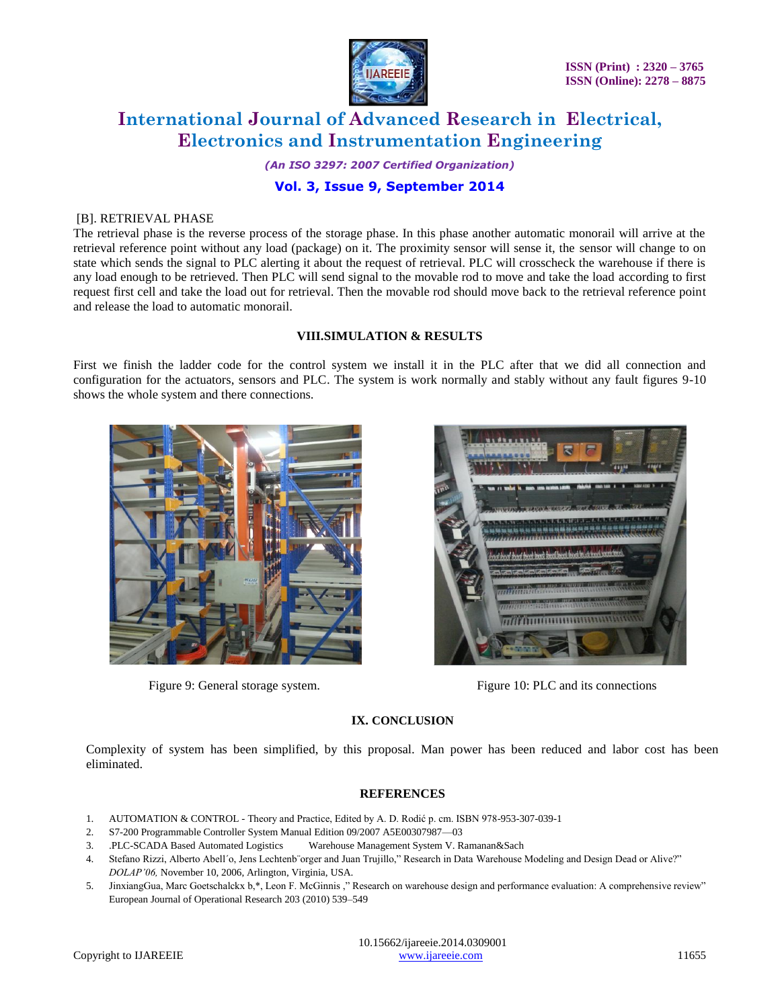

*(An ISO 3297: 2007 Certified Organization)* **Vol. 3, Issue 9, September 2014**

#### [B]. RETRIEVAL PHASE

The retrieval phase is the reverse process of the storage phase. In this phase another automatic monorail will arrive at the retrieval reference point without any load (package) on it. The proximity sensor will sense it, the sensor will change to on state which sends the signal to PLC alerting it about the request of retrieval. PLC will crosscheck the warehouse if there is any load enough to be retrieved. Then PLC will send signal to the movable rod to move and take the load according to first request first cell and take the load out for retrieval. Then the movable rod should move back to the retrieval reference point and release the load to automatic monorail.

### **VIII.SIMULATION & RESULTS**

First we finish the ladder code for the control system we install it in the PLC after that we did all connection and configuration for the actuators, sensors and PLC. The system is work normally and stably without any fault figures 9-10 shows the whole system and there connections.





Figure 9: General storage system. Figure 10: PLC and its connections

### **IX. CONCLUSION**

Complexity of system has been simplified, by this proposal. Man power has been reduced and labor cost has been eliminated.

#### **REFERENCES**

- 1. AUTOMATION & CONTROL Theory and Practice, Edited by A. D. Rodić p. cm. ISBN 978-953-307-039-1
- 2. S7-200 Programmable Controller System Manual Edition 09/2007 A5E00307987—03
- 3. .PLC-SCADA Based Automated Logistics Warehouse Management System V. Ramanan&Sach
- 4. Stefano Rizzi, Alberto Abell'o, Jens Lechtenb¨orger and Juan Trujillo," Research in Data Warehouse Modeling and Design Dead or Alive?" *DOLAP'06,* November 10, 2006, Arlington, Virginia, USA.
- 5. JinxiangGua, Marc Goetschalckx b,\*, Leon F. McGinnis ," Research on warehouse design and performance evaluation: A comprehensive review" European Journal of Operational Research 203 (2010) 539–549